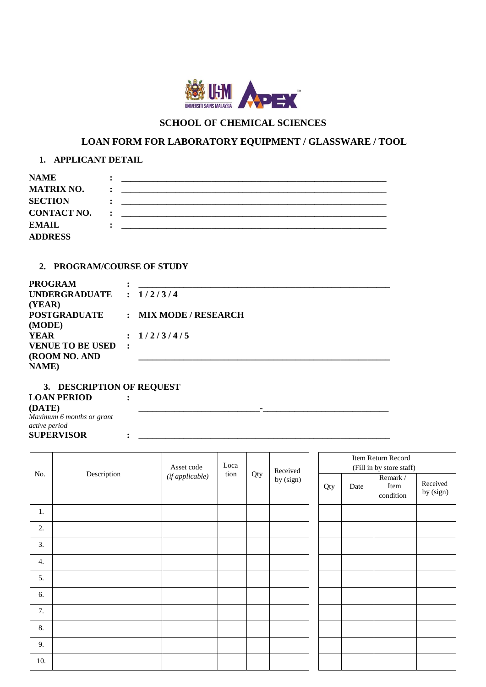

# **SCHOOL OF CHEMICAL SCIENCES**

# **LOAN FORM FOR LABORATORY EQUIPMENT / GLASSWARE / TOOL**

# **1. APPLICANT DETAIL**

| <b>NAME</b>        |  |
|--------------------|--|
| <b>MATRIX NO.</b>  |  |
| <b>SECTION</b>     |  |
| <b>CONTACT NO.</b> |  |
| EMAIL              |  |
| <b>ADDRESS</b>     |  |

## **2. PROGRAM/COURSE OF STUDY**

| UNDERGRADUATE : $1/2/3/4$                 |
|-------------------------------------------|
|                                           |
| : MIX MODE / RESEARCH                     |
|                                           |
| : 1/2/3/4/5                               |
|                                           |
|                                           |
|                                           |
| <b>POSTGRADUATE</b><br>VENUE TO BE USED : |

#### **3. DESCRIPTION OF REQUEST LOAN PERIOD (DATE)** *Maximum 6 months or grant active period* **:**

**SUPERVISOR : \_\_\_\_\_\_\_\_\_\_\_\_\_\_\_\_\_\_\_\_\_\_\_\_\_\_\_\_\_\_\_\_\_\_\_\_\_\_\_\_\_\_\_\_\_\_\_\_\_\_\_\_\_\_\_\_**

| No. |             | Asset code<br>$(if\,appliedble)$ | Loca<br>tion | Qty | Received<br>by (sign) | Item Return Record<br>(Fill in by store staff) |      |                               |                       |
|-----|-------------|----------------------------------|--------------|-----|-----------------------|------------------------------------------------|------|-------------------------------|-----------------------|
|     | Description |                                  |              |     |                       | Qty                                            | Date | Remark /<br>Item<br>condition | Received<br>by (sign) |
| 1.  |             |                                  |              |     |                       |                                                |      |                               |                       |
| 2.  |             |                                  |              |     |                       |                                                |      |                               |                       |
| 3.  |             |                                  |              |     |                       |                                                |      |                               |                       |
| 4.  |             |                                  |              |     |                       |                                                |      |                               |                       |
| 5.  |             |                                  |              |     |                       |                                                |      |                               |                       |
| 6.  |             |                                  |              |     |                       |                                                |      |                               |                       |
| 7.  |             |                                  |              |     |                       |                                                |      |                               |                       |
| 8.  |             |                                  |              |     |                       |                                                |      |                               |                       |
| 9.  |             |                                  |              |     |                       |                                                |      |                               |                       |
| 10. |             |                                  |              |     |                       |                                                |      |                               |                       |

**\_\_\_\_\_\_\_\_\_\_\_\_\_\_\_\_\_\_\_\_\_\_\_\_\_\_\_-\_\_\_\_\_\_\_\_\_\_\_\_\_\_\_\_\_\_\_\_\_\_\_\_\_\_\_\_**